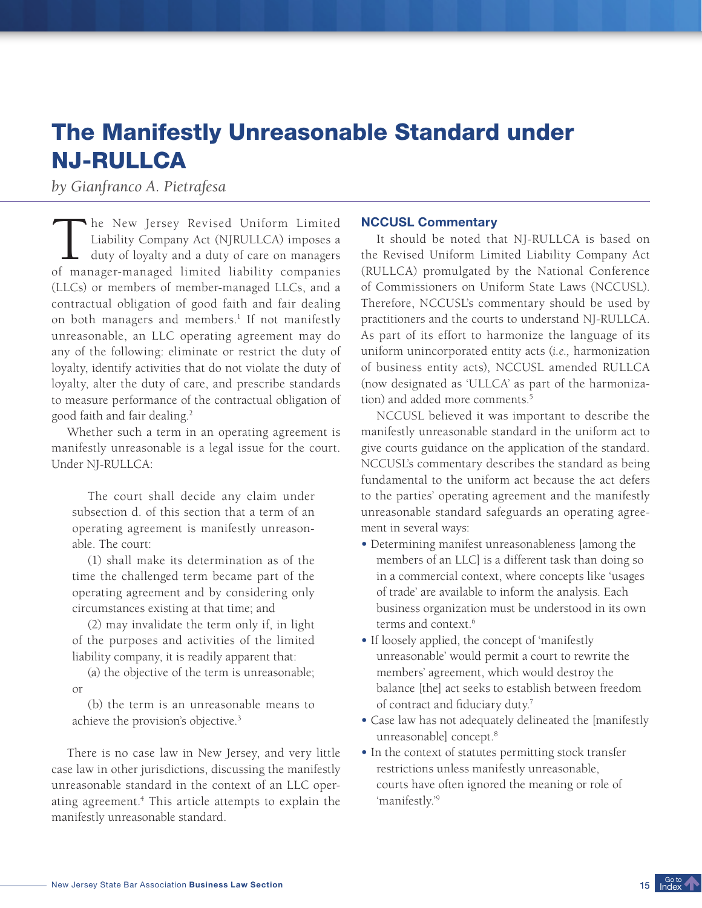# The Manifestly Unreasonable Standard under NJ-RULLCA

*by Gianfranco A. Pietrafesa*

The New Jersey Revised Uniform Limited<br>Liability Company Act (NJRULLCA) imposes a<br>duty of loyalty and a duty of care on managers<br>of manager-managed limited liability companies he New Jersey Revised Uniform Limited Liability Company Act (NJRULLCA) imposes a  $\blacksquare$  duty of loyalty and a duty of care on managers (LLCs) or members of member-managed LLCs, and a contractual obligation of good faith and fair dealing on both managers and members.<sup>1</sup> If not manifestly unreasonable, an LLC operating agreement may do any of the following: eliminate or restrict the duty of loyalty, identify activities that do not violate the duty of loyalty, alter the duty of care, and prescribe standards to measure performance of the contractual obligation of good faith and fair dealing.<sup>2</sup>

Whether such a term in an operating agreement is manifestly unreasonable is a legal issue for the court. Under NJ-RULLCA:

The court shall decide any claim under subsection d. of this section that a term of an operating agreement is manifestly unreasonable. The court:

(1) shall make its determination as of the time the challenged term became part of the operating agreement and by considering only circumstances existing at that time; and

(2) may invalidate the term only if, in light of the purposes and activities of the limited liability company, it is readily apparent that:

(a) the objective of the term is unreasonable; or

(b) the term is an unreasonable means to achieve the provision's objective.<sup>3</sup>

There is no case law in New Jersey, and very little case law in other jurisdictions, discussing the manifestly unreasonable standard in the context of an LLC operating agreement.<sup>4</sup> This article attempts to explain the manifestly unreasonable standard.

## NCCUSL Commentary

It should be noted that NJ-RULLCA is based on the Revised Uniform Limited Liability Company Act (RULLCA) promulgated by the National Conference of Commissioners on Uniform State Laws (NCCUSL). Therefore, NCCUSL's commentary should be used by practitioners and the courts to understand NJ-RULLCA. As part of its effort to harmonize the language of its uniform unincorporated entity acts (*i.e.,* harmonization of business entity acts), NCCUSL amended RULLCA (now designated as 'ULLCA' as part of the harmonization) and added more comments.<sup>5</sup>

NCCUSL believed it was important to describe the manifestly unreasonable standard in the uniform act to give courts guidance on the application of the standard. NCCUSL's commentary describes the standard as being fundamental to the uniform act because the act defers to the parties' operating agreement and the manifestly unreasonable standard safeguards an operating agreement in several ways:

- $\bullet$  Determining manifest unreasonableness [among the members of an LLC] is a different task than doing so in a commercial context, where concepts like 'usages of trade' are available to inform the analysis. Each business organization must be understood in its own terms and context.<sup>6</sup>
- If loosely applied, the concept of 'manifestly unreasonable' would permit a court to rewrite the members' agreement, which would destroy the balance [the] act seeks to establish between freedom of contract and fiduciary duty.<sup>7</sup>
- **UÊ**Case law has not adequately delineated the [manifestly unreasonable] concept.<sup>8</sup>
- In the context of statutes permitting stock transfer restrictions unless manifestly unreasonable, courts have often ignored the meaning or role of 'manifestly.'<sup>9</sup>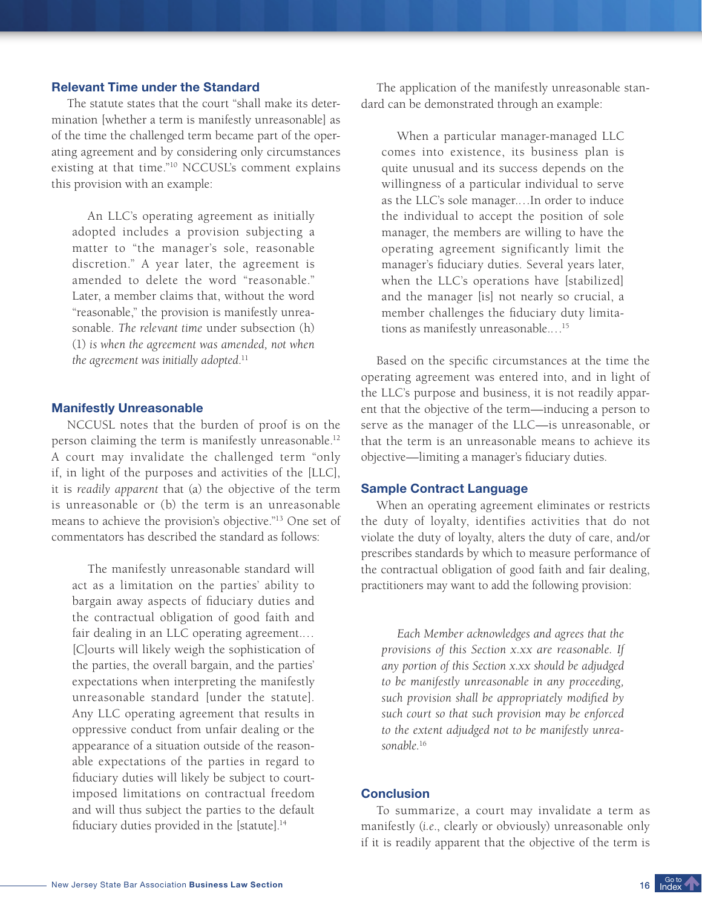## Relevant Time under the Standard

The statute states that the court "shall make its determination [whether a term is manifestly unreasonable] as of the time the challenged term became part of the operating agreement and by considering only circumstances existing at that time."<sup>10</sup> NCCUSL's comment explains this provision with an example:

An LLC's operating agreement as initially adopted includes a provision subjecting a matter to "the manager's sole, reasonable discretion." A year later, the agreement is amended to delete the word "reasonable." Later, a member claims that, without the word "reasonable," the provision is manifestly unreasonable. *The relevant time* under subsection (h) (1) *is when the agreement was amended, not when the agreement was initially adopted*. 11

#### Manifestly Unreasonable

NCCUSL notes that the burden of proof is on the person claiming the term is manifestly unreasonable. 12 A court may invalidate the challenged term "only if, in light of the purposes and activities of the [LLC], it is *readily apparent* that (a) the objective of the term is unreasonable or (b) the term is an unreasonable means to achieve the provision's objective."<sup>13</sup> One set of commentators has described the standard as follows:

The manifestly unreasonable standard will act as a limitation on the parties' ability to bargain away aspects of fiduciary duties and the contractual obligation of good faith and fair dealing in an LLC operating agreement.… [C]ourts will likely weigh the sophistication of the parties, the overall bargain, and the parties' expectations when interpreting the manifestly unreasonable standard [under the statute]. Any LLC operating agreement that results in oppressive conduct from unfair dealing or the appearance of a situation outside of the reasonable expectations of the parties in regard to fiduciary duties will likely be subject to courtimposed limitations on contractual freedom and will thus subject the parties to the default fiduciary duties provided in the [statute].<sup>14</sup>

The application of the manifestly unreasonable standard can be demonstrated through an example:

When a particular manager-managed LLC comes into existence, its business plan is quite unusual and its success depends on the willingness of a particular individual to serve as the LLC's sole manager.…In order to induce the individual to accept the position of sole manager, the members are willing to have the operating agreement significantly limit the manager's fiduciary duties. Several years later, when the LLC's operations have [stabilized] and the manager [is] not nearly so crucial, a member challenges the fiduciary duty limitations as manifestly unreasonable.…<sup>15</sup>

Based on the specific circumstances at the time the operating agreement was entered into, and in light of the LLC's purpose and business, it is not readily apparent that the objective of the term—inducing a person to serve as the manager of the LLC—is unreasonable, or that the term is an unreasonable means to achieve its objective—limiting a manager's fiduciary duties.

#### Sample Contract Language

When an operating agreement eliminates or restricts the duty of loyalty, identifies activities that do not violate the duty of loyalty, alters the duty of care, and/or prescribes standards by which to measure performance of the contractual obligation of good faith and fair dealing, practitioners may want to add the following provision:

*Each Member acknowledges and agrees that the provisions of this Section x.xx are reasonable. If any portion of this Section x.xx should be adjudged to be manifestly unreasonable in any proceeding, such provision shall be appropriately modified by such court so that such provision may be enforced to the extent adjudged not to be manifestly unreasonable.*<sup>16</sup>

## **Conclusion**

To summarize, a court may invalidate a term as manifestly (*i.e*., clearly or obviously) unreasonable only if it is readily apparent that the objective of the term is